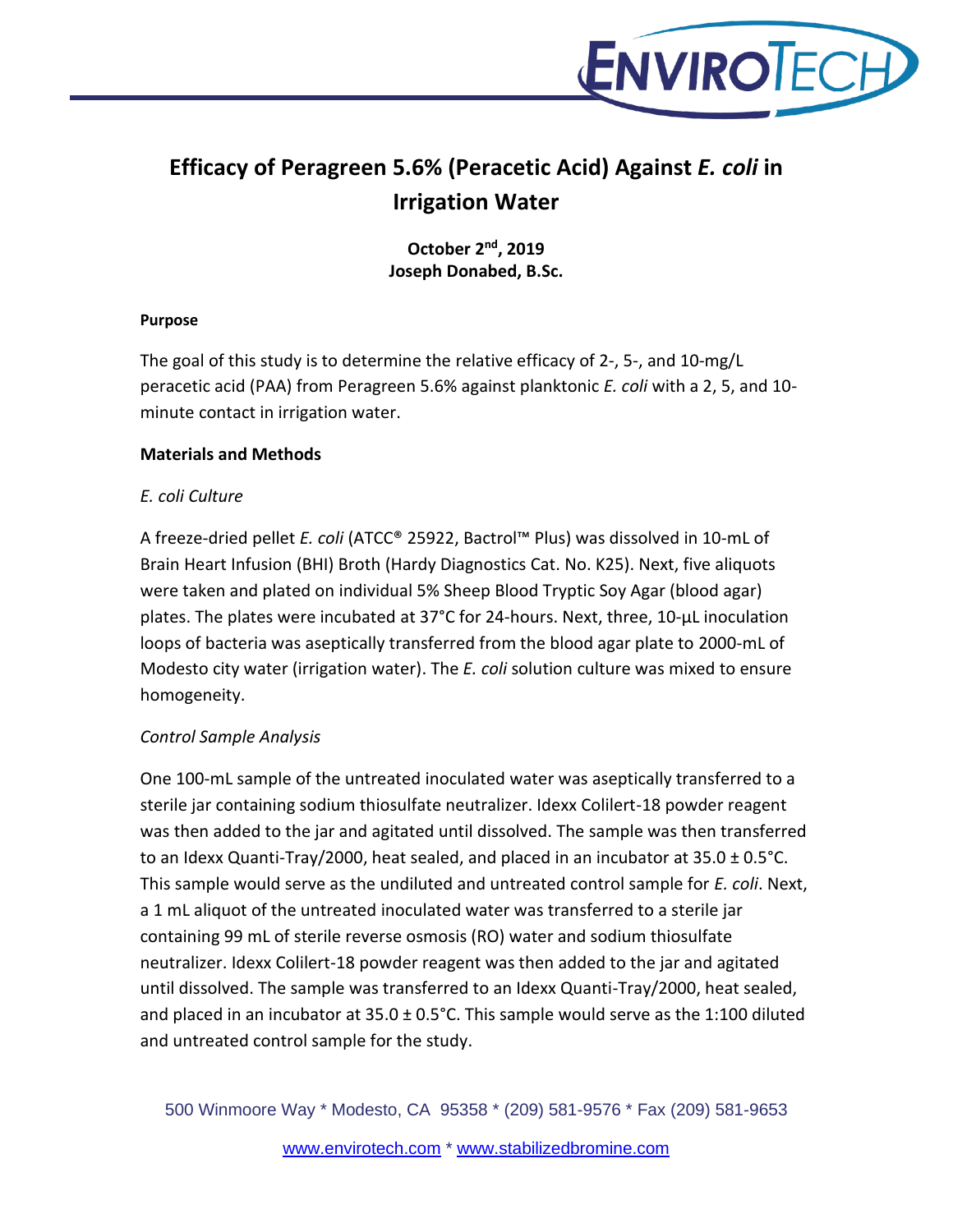

# **Efficacy of Peragreen 5.6% (Peracetic Acid) Against** *E. coli* **in Irrigation Water**

**October 2 nd, 2019 Joseph Donabed, B.Sc.**

#### **Purpose**

The goal of this study is to determine the relative efficacy of 2-, 5-, and 10-mg/L peracetic acid (PAA) from Peragreen 5.6% against planktonic *E. coli* with a 2, 5, and 10 minute contact in irrigation water.

#### **Materials and Methods**

### *E. coli Culture*

A freeze-dried pellet *E. coli* (ATCC® 25922, Bactrol™ Plus) was dissolved in 10-mL of Brain Heart Infusion (BHI) Broth (Hardy Diagnostics Cat. No. K25). Next, five aliquots were taken and plated on individual 5% Sheep Blood Tryptic Soy Agar (blood agar) plates. The plates were incubated at 37°C for 24-hours. Next, three, 10-µL inoculation loops of bacteria was aseptically transferred from the blood agar plate to 2000-mL of Modesto city water (irrigation water). The *E. coli* solution culture was mixed to ensure homogeneity.

# *Control Sample Analysis*

One 100-mL sample of the untreated inoculated water was aseptically transferred to a sterile jar containing sodium thiosulfate neutralizer. Idexx Colilert-18 powder reagent was then added to the jar and agitated until dissolved. The sample was then transferred to an Idexx Quanti-Tray/2000, heat sealed, and placed in an incubator at  $35.0 \pm 0.5$ °C. This sample would serve as the undiluted and untreated control sample for *E. coli*. Next, a 1 mL aliquot of the untreated inoculated water was transferred to a sterile jar containing 99 mL of sterile reverse osmosis (RO) water and sodium thiosulfate neutralizer. Idexx Colilert-18 powder reagent was then added to the jar and agitated until dissolved. The sample was transferred to an Idexx Quanti-Tray/2000, heat sealed, and placed in an incubator at  $35.0 \pm 0.5^{\circ}$ C. This sample would serve as the 1:100 diluted and untreated control sample for the study.

500 Winmoore Way \* Modesto, CA 95358 \* (209) 581-9576 \* Fax (209) 581-9653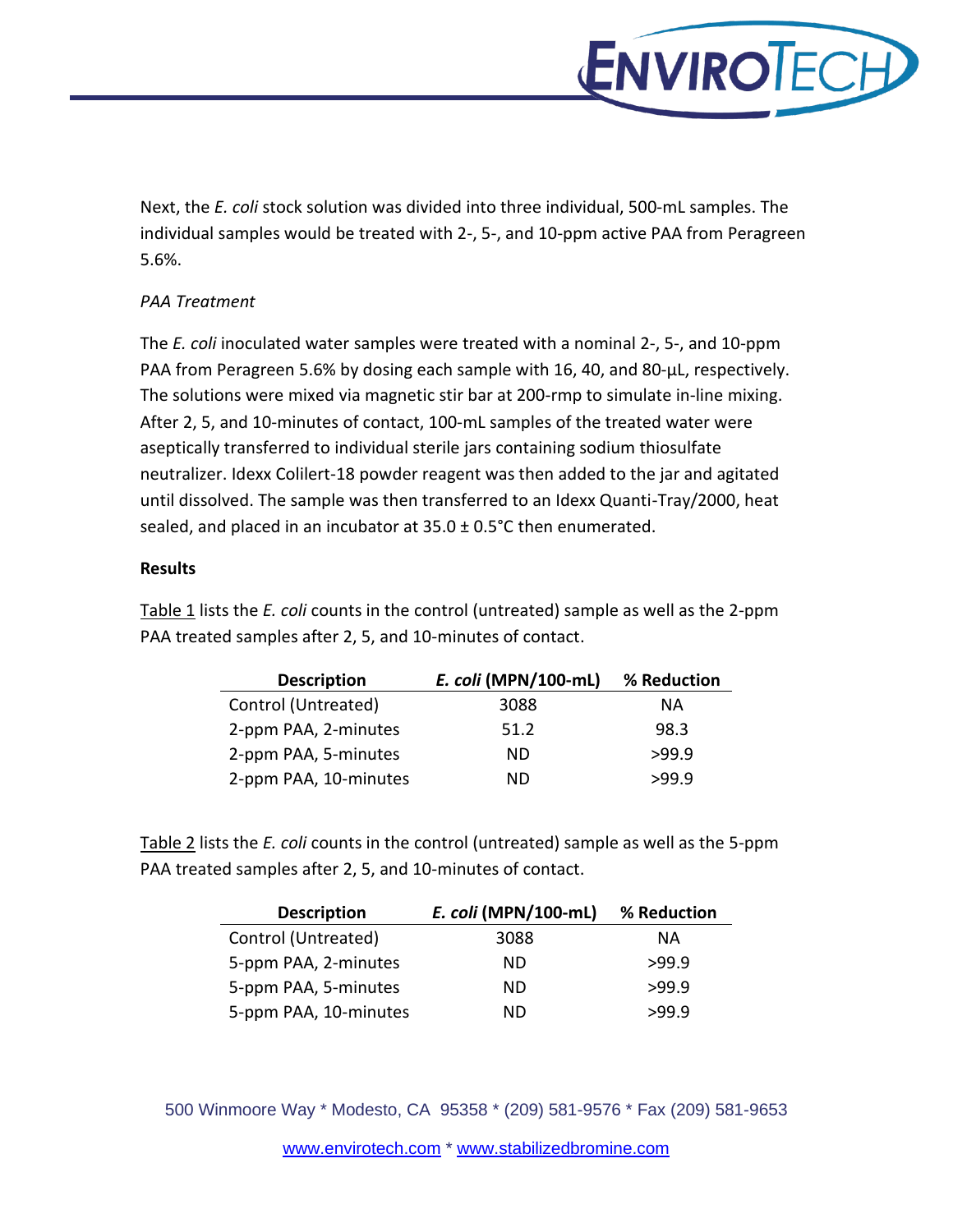

Next, the *E. coli* stock solution was divided into three individual, 500-mL samples. The individual samples would be treated with 2-, 5-, and 10-ppm active PAA from Peragreen 5.6%.

# *PAA Treatment*

The *E. coli* inoculated water samples were treated with a nominal 2-, 5-, and 10-ppm PAA from Peragreen 5.6% by dosing each sample with 16, 40, and 80-µL, respectively. The solutions were mixed via magnetic stir bar at 200-rmp to simulate in-line mixing. After 2, 5, and 10-minutes of contact, 100-mL samples of the treated water were aseptically transferred to individual sterile jars containing sodium thiosulfate neutralizer. Idexx Colilert-18 powder reagent was then added to the jar and agitated until dissolved. The sample was then transferred to an Idexx Quanti-Tray/2000, heat sealed, and placed in an incubator at  $35.0 \pm 0.5^{\circ}$ C then enumerated.

# **Results**

Table 1 lists the *E. coli* counts in the control (untreated) sample as well as the 2-ppm PAA treated samples after 2, 5, and 10-minutes of contact.

| <b>Description</b>    | E. coli (MPN/100-mL) | % Reduction |
|-----------------------|----------------------|-------------|
| Control (Untreated)   | 3088                 | ΝA          |
| 2-ppm PAA, 2-minutes  | 51.2                 | 98.3        |
| 2-ppm PAA, 5-minutes  | ND                   | >99.9       |
| 2-ppm PAA, 10-minutes | ND                   | >99.9       |

Table 2 lists the *E. coli* counts in the control (untreated) sample as well as the 5-ppm PAA treated samples after 2, 5, and 10-minutes of contact.

| <b>Description</b>    | E. coli (MPN/100-mL) | % Reduction |
|-----------------------|----------------------|-------------|
| Control (Untreated)   | 3088                 | ΝA          |
| 5-ppm PAA, 2-minutes  | ND                   | >99.9       |
| 5-ppm PAA, 5-minutes  | ND.                  | >99.9       |
| 5-ppm PAA, 10-minutes | ND                   | >99.9       |

500 Winmoore Way \* Modesto, CA 95358 \* (209) 581-9576 \* Fax (209) 581-9653